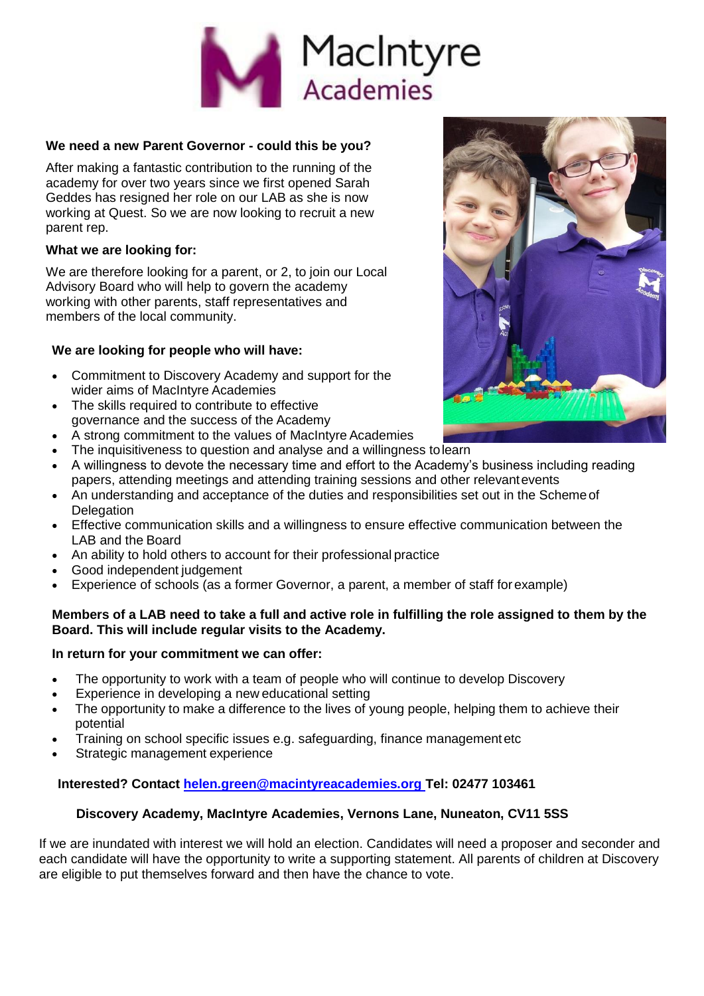

# **We need a new Parent Governor - could this be you?**

After making a fantastic contribution to the running of the academy for over two years since we first opened Sarah Geddes has resigned her role on our LAB as she is now working at Quest. So we are now looking to recruit a new parent rep.

#### **What we are looking for:**

We are therefore looking for a parent, or 2, to join our Local Advisory Board who will help to govern the academy working with other parents, staff representatives and members of the local community.

# **We are looking for people who will have:**

- Commitment to Discovery Academy and support for the wider aims of MacIntyre Academies
- The skills required to contribute to effective governance and the success of the Academy
- A strong commitment to the values of MacIntyre Academies
- The inquisitiveness to question and analyse and a willingness tolearn
- A willingness to devote the necessary time and effort to the Academy's business including reading papers, attending meetings and attending training sessions and other relevantevents
- An understanding and acceptance of the duties and responsibilities set out in the Schemeof **Delegation**
- Effective communication skills and a willingness to ensure effective communication between the LAB and the Board
- An ability to hold others to account for their professional practice
- Good independent judgement
- Experience of schools (as a former Governor, a parent, a member of staff forexample)

# **Members of a LAB need to take a full and active role in fulfilling the role assigned to them by the Board. This will include regular visits to the Academy.**

# **In return for your commitment we can offer:**

- The opportunity to work with a team of people who will continue to develop Discovery
- Experience in developing a new educational setting
- The opportunity to make a difference to the lives of young people, helping them to achieve their potential
- Training on school specific issues e.g. safeguarding, finance managementetc
- Strategic management experience

# **Interested? Contact [helen.green@macintyreacademies.org T](mailto:helen.green@macintyreacademies.org)el: 02477 103461**

# **Discovery Academy, MacIntyre Academies, Vernons Lane, Nuneaton, CV11 5SS**

If we are inundated with interest we will hold an election. Candidates will need a proposer and seconder and each candidate will have the opportunity to write a supporting statement. All parents of children at Discovery are eligible to put themselves forward and then have the chance to vote.